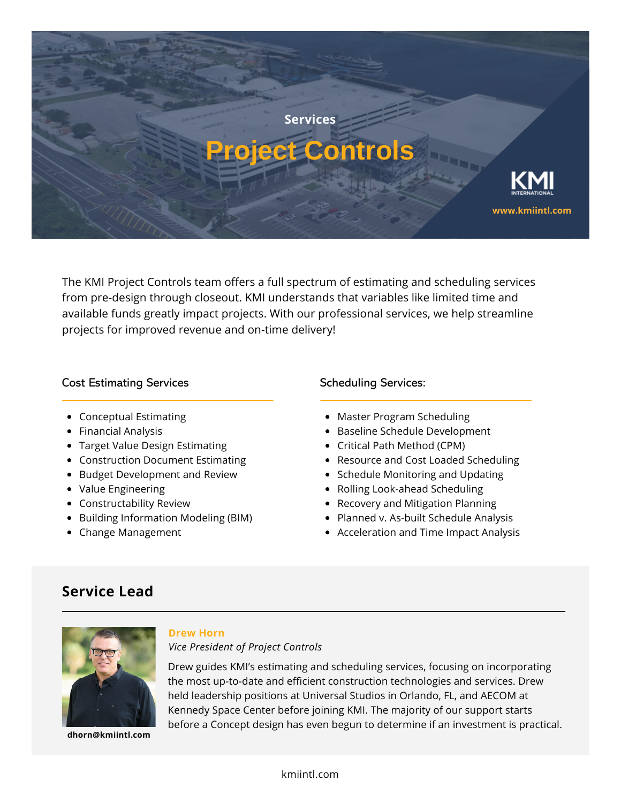

The KMI Project Controls team offers a full spectrum of estimating and scheduling services from pre-design through closeout. KMI understands that variables like limited time and available funds greatly impact projects. With our professional services, we help streamline projects for improved revenue and on-time delivery!

### Cost Estimating Services

- Conceptual Estimating
- Financial Analysis
- Target Value Design Estimating
- Construction Document Estimating
- Budget Development and Review
- Value Engineering
- Constructability Review
- Building Information Modeling (BIM)
- Change Management

### Scheduling Services:

- Master Program Scheduling
- Baseline Schedule Development
- Critical Path Method (CPM)
- Resource and Cost Loaded Scheduling
- Schedule Monitoring and Updating
- Rolling Look-ahead Scheduling
- Recovery and Mitigation Planning
- Planned v. As-built Schedule Analysis
- Acceleration and Time Impact Analysis

# **Service Lead**



**dhorn@kmiintl.com**

#### **Drew Horn**

### *Vice President of Project Controls*

Drew guides KMI's estimating and scheduling services, focusing on incorporating the most up-to-date and efficient construction technologies and services. Drew held leadership positions at Universal Studios in Orlando, FL, and AECOM at Kennedy Space Center before joining KMI. The majority of our support starts before a Concept design has even begun to determine if an investment is practical.